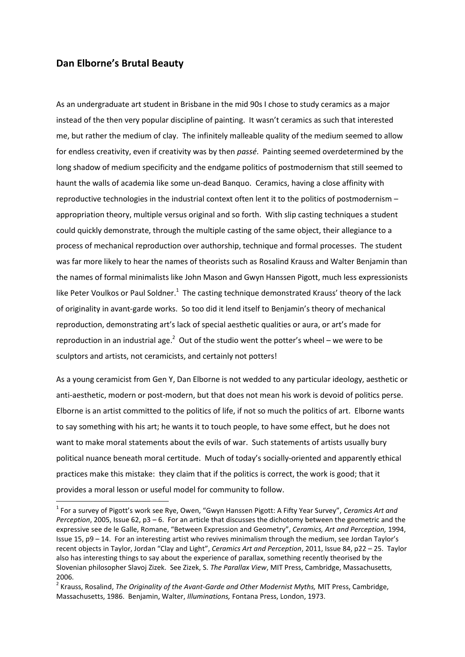## **Dan Elborne's Brutal Beauty**

**.** 

As an undergraduate art student in Brisbane in the mid 90s I chose to study ceramics as a major instead of the then very popular discipline of painting. It wasn't ceramics as such that interested me, but rather the medium of clay. The infinitely malleable quality of the medium seemed to allow for endless creativity, even if creativity was by then *passé*. Painting seemed overdetermined by the long shadow of medium specificity and the endgame politics of postmodernism that still seemed to haunt the walls of academia like some un-dead Banquo. Ceramics, having a close affinity with reproductive technologies in the industrial context often lent it to the politics of postmodernism – appropriation theory, multiple versus original and so forth. With slip casting techniques a student could quickly demonstrate, through the multiple casting of the same object, their allegiance to a process of mechanical reproduction over authorship, technique and formal processes. The student was far more likely to hear the names of theorists such as Rosalind Krauss and Walter Benjamin than the names of formal minimalists like John Mason and Gwyn Hanssen Pigott, much less expressionists like Peter Voulkos or Paul Soldner.<sup>1</sup> The casting technique demonstrated Krauss' theory of the lack of originality in avant-garde works. So too did it lend itself to Benjamin's theory of mechanical reproduction, demonstrating art's lack of special aesthetic qualities or aura, or art's made for reproduction in an industrial age. $^2$  Out of the studio went the potter's wheel – we were to be sculptors and artists, not ceramicists, and certainly not potters!

As a young ceramicist from Gen Y, Dan Elborne is not wedded to any particular ideology, aesthetic or anti-aesthetic, modern or post-modern, but that does not mean his work is devoid of politics perse. Elborne is an artist committed to the politics of life, if not so much the politics of art. Elborne wants to say something with his art; he wants it to touch people, to have some effect, but he does not want to make moral statements about the evils of war. Such statements of artists usually bury political nuance beneath moral certitude. Much of today's socially-oriented and apparently ethical practices make this mistake: they claim that if the politics is correct, the work is good; that it provides a moral lesson or useful model for community to follow.

<sup>1</sup> For a survey of Pigott's work see Rye, Owen, "Gwyn Hanssen Pigott: A Fifty Year Survey", *Ceramics Art and Perception*, 2005, Issue 62, p3 – 6. For an article that discusses the dichotomy between the geometric and the expressive see de le Galle, Romane, "Between Expression and Geometry", *Ceramics, Art and Perception,* 1994, Issue 15, p9 – 14. For an interesting artist who revives minimalism through the medium, see Jordan Taylor's recent objects in Taylor, Jordan "Clay and Light", *Ceramics Art and Perception*, 2011, Issue 84, p22 – 25. Taylor also has interesting things to say about the experience of parallax, something recently theorised by the Slovenian philosopher Slavoj Zizek. See Zizek, S. *The Parallax View*, MIT Press, Cambridge, Massachusetts, 2006.

<sup>2</sup> Krauss, Rosalind, *The Originality of the Avant-Garde and Other Modernist Myths,* MIT Press, Cambridge, Massachusetts, 1986. Benjamin, Walter, *Illuminations,* Fontana Press, London, 1973.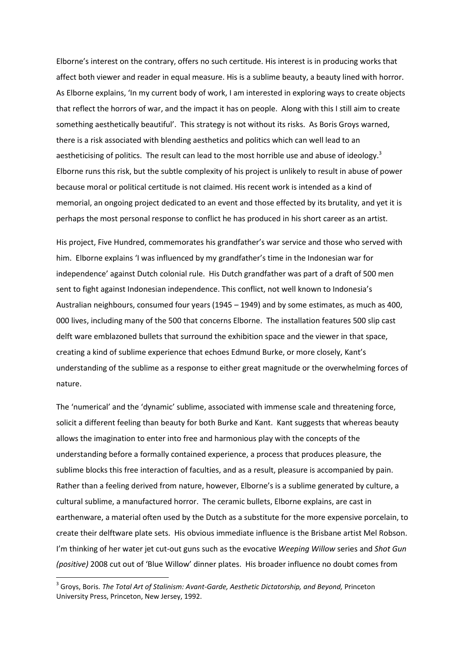Elborne's interest on the contrary, offers no such certitude. His interest is in producing works that affect both viewer and reader in equal measure. His is a sublime beauty, a beauty lined with horror. As Elborne explains, 'In my current body of work, I am interested in exploring ways to create objects that reflect the horrors of war, and the impact it has on people. Along with this I still aim to create something aesthetically beautiful'. This strategy is not without its risks. As Boris Groys warned, there is a risk associated with blending aesthetics and politics which can well lead to an aestheticising of politics. The result can lead to the most horrible use and abuse of ideology.<sup>3</sup> Elborne runs this risk, but the subtle complexity of his project is unlikely to result in abuse of power because moral or political certitude is not claimed. His recent work is intended as a kind of memorial, an ongoing project dedicated to an event and those effected by its brutality, and yet it is perhaps the most personal response to conflict he has produced in his short career as an artist.

His project, Five Hundred, commemorates his grandfather's war service and those who served with him. Elborne explains 'I was influenced by my grandfather's time in the Indonesian war for independence' against Dutch colonial rule. His Dutch grandfather was part of a draft of 500 men sent to fight against Indonesian independence. This conflict, not well known to Indonesia's Australian neighbours, consumed four years (1945 – 1949) and by some estimates, as much as 400, 000 lives, including many of the 500 that concerns Elborne. The installation features 500 slip cast delft ware emblazoned bullets that surround the exhibition space and the viewer in that space, creating a kind of sublime experience that echoes Edmund Burke, or more closely, Kant's understanding of the sublime as a response to either great magnitude or the overwhelming forces of nature.

The 'numerical' and the 'dynamic' sublime, associated with immense scale and threatening force, solicit a different feeling than beauty for both Burke and Kant. Kant suggests that whereas beauty allows the imagination to enter into free and harmonious play with the concepts of the understanding before a formally contained experience, a process that produces pleasure, the sublime blocks this free interaction of faculties, and as a result, pleasure is accompanied by pain. Rather than a feeling derived from nature, however, Elborne's is a sublime generated by culture, a cultural sublime, a manufactured horror. The ceramic bullets, Elborne explains, are cast in earthenware, a material often used by the Dutch as a substitute for the more expensive porcelain, to create their delftware plate sets. His obvious immediate influence is the Brisbane artist Mel Robson. I'm thinking of her water jet cut-out guns such as the evocative *Weeping Willow* series and *Shot Gun (positive)* 2008 cut out of 'Blue Willow' dinner plates. His broader influence no doubt comes from

1

<sup>&</sup>lt;sup>3</sup> Groys, Boris. *The Total Art of Stalinism: Avant-Garde, Aesthetic Dictatorship, and Beyond, Princeton* University Press, Princeton, New Jersey, 1992.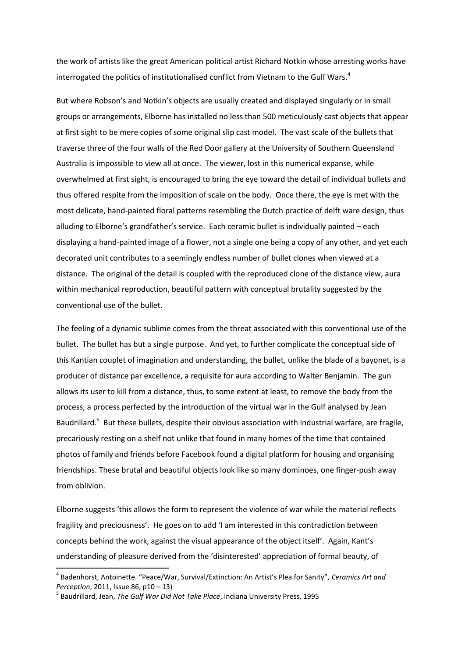the work of artists like the great American political artist Richard Notkin whose arresting works have interrogated the politics of institutionalised conflict from Vietnam to the Gulf Wars. $^4$ 

But where Robson's and Notkin's objects are usually created and displayed singularly or in small groups or arrangements, Elborne has installed no less than 500 meticulously cast objects that appear at first sight to be mere copies of some original slip cast model. The vast scale of the bullets that traverse three of the four walls of the Red Door gallery at the University of Southern Queensland Australia is impossible to view all at once. The viewer, lost in this numerical expanse, while overwhelmed at first sight, is encouraged to bring the eye toward the detail of individual bullets and thus offered respite from the imposition of scale on the body. Once there, the eye is met with the most delicate, hand-painted floral patterns resembling the Dutch practice of delft ware design, thus alluding to Elborne's grandfather's service. Each ceramic bullet is individually painted – each displaying a hand-painted image of a flower, not a single one being a copy of any other, and yet each decorated unit contributes to a seemingly endless number of bullet clones when viewed at a distance. The original of the detail is coupled with the reproduced clone of the distance view, aura within mechanical reproduction, beautiful pattern with conceptual brutality suggested by the conventional use of the bullet.

The feeling of a dynamic sublime comes from the threat associated with this conventional use of the bullet. The bullet has but a single purpose. And yet, to further complicate the conceptual side of this Kantian couplet of imagination and understanding, the bullet, unlike the blade of a bayonet, is a producer of distance par excellence, a requisite for aura according to Walter Benjamin. The gun allows its user to kill from a distance, thus, to some extent at least, to remove the body from the process, a process perfected by the introduction of the virtual war in the Gulf analysed by Jean Baudrillard.<sup>5</sup> But these bullets, despite their obvious association with industrial warfare, are fragile, precariously resting on a shelf not unlike that found in many homes of the time that contained photos of family and friends before Facebook found a digital platform for housing and organising friendships. These brutal and beautiful objects look like so many dominoes, one finger-push away from oblivion.

Elborne suggests 'this allows the form to represent the violence of war while the material reflects fragility and preciousness'. He goes on to add 'I am interested in this contradiction between concepts behind the work, against the visual appearance of the object itself'. Again, Kant's understanding of pleasure derived from the 'disinterested' appreciation of formal beauty, of

**.** 

<sup>4</sup> Badenhorst, Antoinette. "Peace/War, Survival/Extinction: An Artist's Plea for Sanity", *Ceramics Art and Perception*, 2011, Issue 86, p10 – 13)

<sup>5</sup> Baudrillard, Jean, *The Gulf War Did Not Take Place*, Indiana University Press, 1995